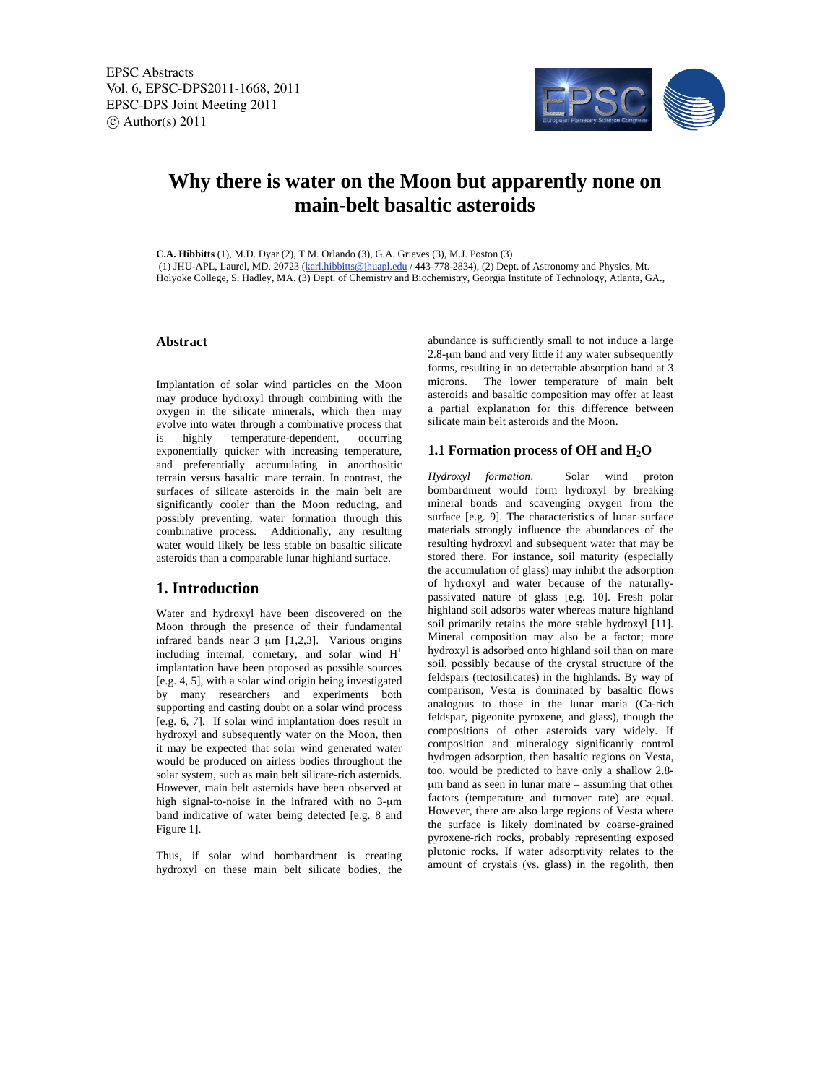

# **Why there is water on the Moon but apparently none on main-belt basaltic asteroids**

**C.A. Hibbitts** (1), M.D. Dyar (2), T.M. Orlando (3), G.A. Grieves (3), M.J. Poston (3) (1) JHU-APL, Laurel, MD. 20723 (karl.hibbitts@jhuapl.edu / 443-778-2834), (2) Dept. of Astronomy and Physics, Mt. Holyoke College, S. Hadley, MA. (3) Dept. of Chemistry and Biochemistry, Georgia Institute of Technology, Atlanta, GA.,

### **Abstract**

Implantation of solar wind particles on the Moon may produce hydroxyl through combining with the oxygen in the silicate minerals, which then may evolve into water through a combinative process that is highly temperature-dependent, occurring exponentially quicker with increasing temperature, and preferentially accumulating in anorthositic terrain versus basaltic mare terrain. In contrast, the surfaces of silicate asteroids in the main belt are significantly cooler than the Moon reducing, and possibly preventing, water formation through this combinative process. Additionally, any resulting water would likely be less stable on basaltic silicate asteroids than a comparable lunar highland surface.

## **1. Introduction**

Water and hydroxyl have been discovered on the Moon through the presence of their fundamental infrared bands near 3 μm [1,2,3]. Various origins including internal, cometary, and solar wind  $H^+$ implantation have been proposed as possible sources [e.g. 4, 5], with a solar wind origin being investigated by many researchers and experiments both supporting and casting doubt on a solar wind process [e.g. 6, 7]. If solar wind implantation does result in hydroxyl and subsequently water on the Moon, then it may be expected that solar wind generated water would be produced on airless bodies throughout the solar system, such as main belt silicate-rich asteroids. However, main belt asteroids have been observed at high signal-to-noise in the infrared with no 3-μm band indicative of water being detected [e.g. 8 and Figure 1].

Thus, if solar wind bombardment is creating hydroxyl on these main belt silicate bodies, the abundance is sufficiently small to not induce a large 2.8-μm band and very little if any water subsequently forms, resulting in no detectable absorption band at 3 microns. The lower temperature of main belt asteroids and basaltic composition may offer at least a partial explanation for this difference between silicate main belt asteroids and the Moon.

#### **1.1 Formation process of OH and H2O**

*Hydroxyl formation*. Solar wind proton bombardment would form hydroxyl by breaking mineral bonds and scavenging oxygen from the surface [e.g. 9]. The characteristics of lunar surface materials strongly influence the abundances of the resulting hydroxyl and subsequent water that may be stored there. For instance, soil maturity (especially the accumulation of glass) may inhibit the adsorption of hydroxyl and water because of the naturallypassivated nature of glass [e.g. 10]. Fresh polar highland soil adsorbs water whereas mature highland soil primarily retains the more stable hydroxyl [11]. Mineral composition may also be a factor; more hydroxyl is adsorbed onto highland soil than on mare soil, possibly because of the crystal structure of the feldspars (tectosilicates) in the highlands. By way of comparison, Vesta is dominated by basaltic flows analogous to those in the lunar maria (Ca-rich feldspar, pigeonite pyroxene, and glass), though the compositions of other asteroids vary widely. If composition and mineralogy significantly control hydrogen adsorption, then basaltic regions on Vesta, too, would be predicted to have only a shallow 2.8 μm band as seen in lunar mare – assuming that other factors (temperature and turnover rate) are equal. However, there are also large regions of Vesta where the surface is likely dominated by coarse-grained pyroxene-rich rocks, probably representing exposed plutonic rocks. If water adsorptivity relates to the amount of crystals (vs. glass) in the regolith, then